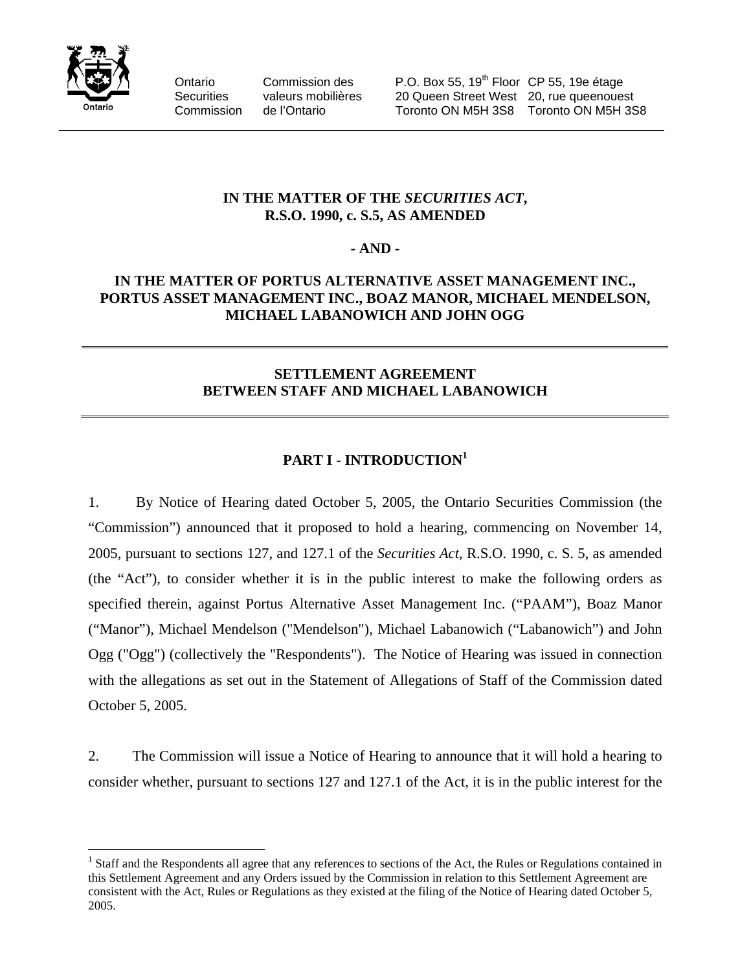

 $\overline{a}$ 

Ontario Commission des P.O. Box 55, 19<sup>th</sup> Floor CP 55, 19e étage Securities valeurs mobilières 20 Queen Street West 20, rue queenouest Commission de l'Ontario Toronto ON M5H 3S8 Toronto ON M5H 3S8

# **IN THE MATTER OF THE** *SECURITIES ACT***, R.S.O. 1990, c. S.5, AS AMENDED**

# **- AND -**

# **IN THE MATTER OF PORTUS ALTERNATIVE ASSET MANAGEMENT INC., PORTUS ASSET MANAGEMENT INC., BOAZ MANOR, MICHAEL MENDELSON, MICHAEL LABANOWICH AND JOHN OGG**

# **SETTLEMENT AGREEMENT BETWEEN STAFF AND MICHAEL LABANOWICH**

# PART I - **INTRODUCTION**<sup>1</sup>

1. By Notice of Hearing dated October 5, 2005, the Ontario Securities Commission (the "Commission") announced that it proposed to hold a hearing, commencing on November 14, 2005, pursuant to sections 127, and 127.1 of the *Securities Act*, R.S.O. 1990, c. S. 5, as amended (the "Act"), to consider whether it is in the public interest to make the following orders as specified therein, against Portus Alternative Asset Management Inc. ("PAAM"), Boaz Manor ("Manor"), Michael Mendelson ("Mendelson"), Michael Labanowich ("Labanowich") and John Ogg ("Ogg") (collectively the "Respondents"). The Notice of Hearing was issued in connection with the allegations as set out in the Statement of Allegations of Staff of the Commission dated October 5, 2005.

2. The Commission will issue a Notice of Hearing to announce that it will hold a hearing to consider whether, pursuant to sections 127 and 127.1 of the Act, it is in the public interest for the

<sup>&</sup>lt;sup>1</sup> Staff and the Respondents all agree that any references to sections of the Act, the Rules or Regulations contained in this Settlement Agreement and any Orders issued by the Commission in relation to this Settlement Agreement are consistent with the Act, Rules or Regulations as they existed at the filing of the Notice of Hearing dated October 5, 2005.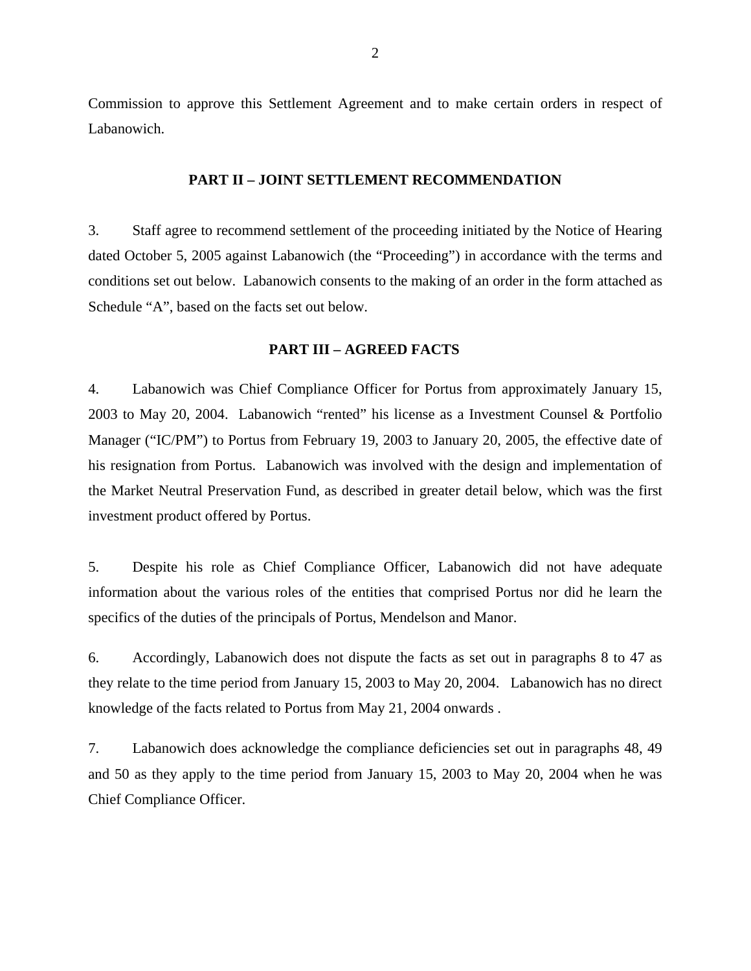Commission to approve this Settlement Agreement and to make certain orders in respect of Labanowich.

## **PART II – JOINT SETTLEMENT RECOMMENDATION**

3. Staff agree to recommend settlement of the proceeding initiated by the Notice of Hearing dated October 5, 2005 against Labanowich (the "Proceeding") in accordance with the terms and conditions set out below. Labanowich consents to the making of an order in the form attached as Schedule "A", based on the facts set out below.

## **PART III – AGREED FACTS**

4. Labanowich was Chief Compliance Officer for Portus from approximately January 15, 2003 to May 20, 2004. Labanowich "rented" his license as a Investment Counsel & Portfolio Manager ("IC/PM") to Portus from February 19, 2003 to January 20, 2005, the effective date of his resignation from Portus. Labanowich was involved with the design and implementation of the Market Neutral Preservation Fund, as described in greater detail below, which was the first investment product offered by Portus.

5. Despite his role as Chief Compliance Officer, Labanowich did not have adequate information about the various roles of the entities that comprised Portus nor did he learn the specifics of the duties of the principals of Portus, Mendelson and Manor.

6. Accordingly, Labanowich does not dispute the facts as set out in paragraphs 8 to 47 as they relate to the time period from January 15, 2003 to May 20, 2004. Labanowich has no direct knowledge of the facts related to Portus from May 21, 2004 onwards .

7. Labanowich does acknowledge the compliance deficiencies set out in paragraphs 48, 49 and 50 as they apply to the time period from January 15, 2003 to May 20, 2004 when he was Chief Compliance Officer.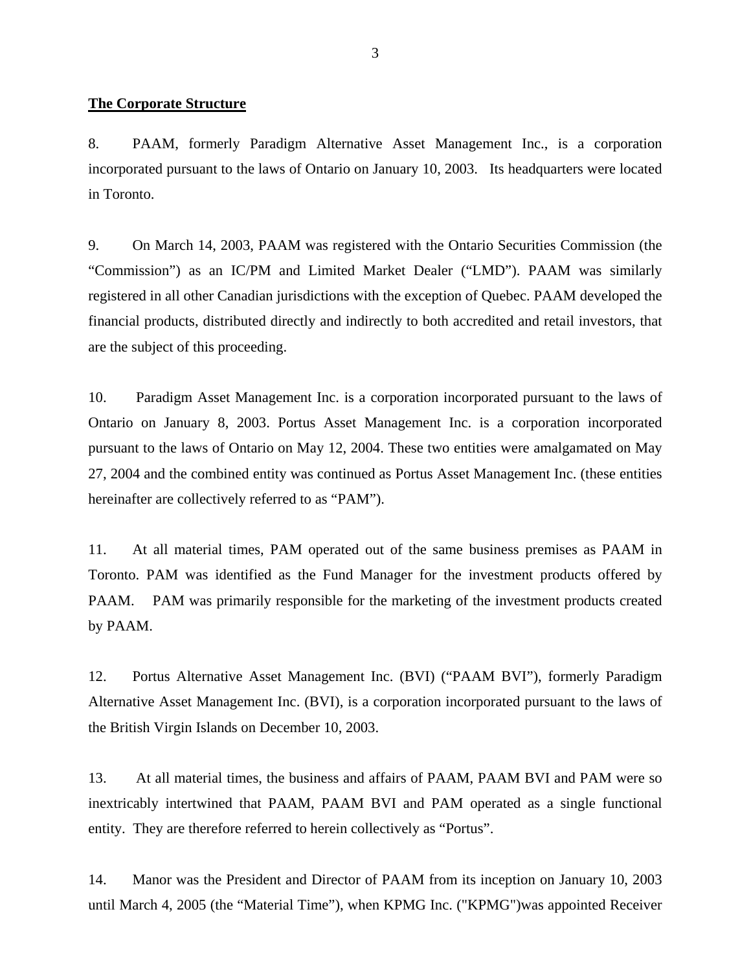#### **The Corporate Structure**

8. PAAM, formerly Paradigm Alternative Asset Management Inc., is a corporation incorporated pursuant to the laws of Ontario on January 10, 2003. Its headquarters were located in Toronto.

9. On March 14, 2003, PAAM was registered with the Ontario Securities Commission (the "Commission") as an IC/PM and Limited Market Dealer ("LMD"). PAAM was similarly registered in all other Canadian jurisdictions with the exception of Quebec. PAAM developed the financial products, distributed directly and indirectly to both accredited and retail investors, that are the subject of this proceeding.

10. Paradigm Asset Management Inc. is a corporation incorporated pursuant to the laws of Ontario on January 8, 2003. Portus Asset Management Inc. is a corporation incorporated pursuant to the laws of Ontario on May 12, 2004. These two entities were amalgamated on May 27, 2004 and the combined entity was continued as Portus Asset Management Inc. (these entities hereinafter are collectively referred to as "PAM").

11. At all material times, PAM operated out of the same business premises as PAAM in Toronto. PAM was identified as the Fund Manager for the investment products offered by PAAM. PAM was primarily responsible for the marketing of the investment products created by PAAM.

12. Portus Alternative Asset Management Inc. (BVI) ("PAAM BVI"), formerly Paradigm Alternative Asset Management Inc. (BVI), is a corporation incorporated pursuant to the laws of the British Virgin Islands on December 10, 2003.

13. At all material times, the business and affairs of PAAM, PAAM BVI and PAM were so inextricably intertwined that PAAM, PAAM BVI and PAM operated as a single functional entity. They are therefore referred to herein collectively as "Portus".

14. Manor was the President and Director of PAAM from its inception on January 10, 2003 until March 4, 2005 (the "Material Time"), when KPMG Inc. ("KPMG")was appointed Receiver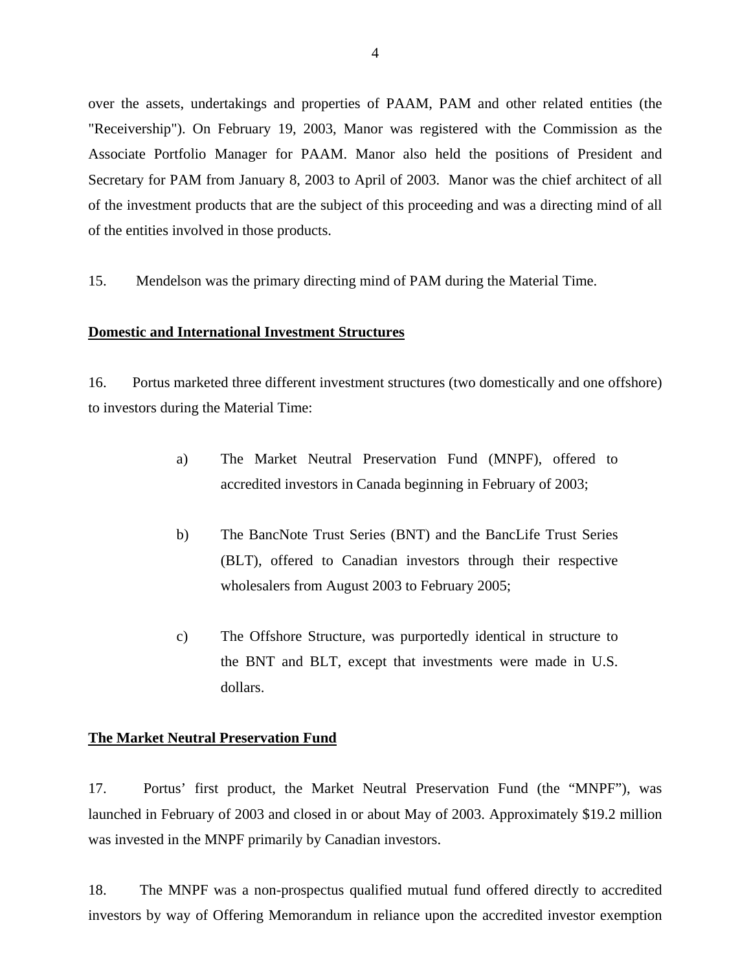over the assets, undertakings and properties of PAAM, PAM and other related entities (the "Receivership"). On February 19, 2003, Manor was registered with the Commission as the Associate Portfolio Manager for PAAM. Manor also held the positions of President and Secretary for PAM from January 8, 2003 to April of 2003. Manor was the chief architect of all of the investment products that are the subject of this proceeding and was a directing mind of all of the entities involved in those products.

15. Mendelson was the primary directing mind of PAM during the Material Time.

## **Domestic and International Investment Structures**

16. Portus marketed three different investment structures (two domestically and one offshore) to investors during the Material Time:

- a) The Market Neutral Preservation Fund (MNPF), offered to accredited investors in Canada beginning in February of 2003;
- b) The BancNote Trust Series (BNT) and the BancLife Trust Series (BLT), offered to Canadian investors through their respective wholesalers from August 2003 to February 2005;
- c) The Offshore Structure, was purportedly identical in structure to the BNT and BLT, except that investments were made in U.S. dollars.

## **The Market Neutral Preservation Fund**

17. Portus' first product, the Market Neutral Preservation Fund (the "MNPF"), was launched in February of 2003 and closed in or about May of 2003. Approximately \$19.2 million was invested in the MNPF primarily by Canadian investors.

18. The MNPF was a non-prospectus qualified mutual fund offered directly to accredited investors by way of Offering Memorandum in reliance upon the accredited investor exemption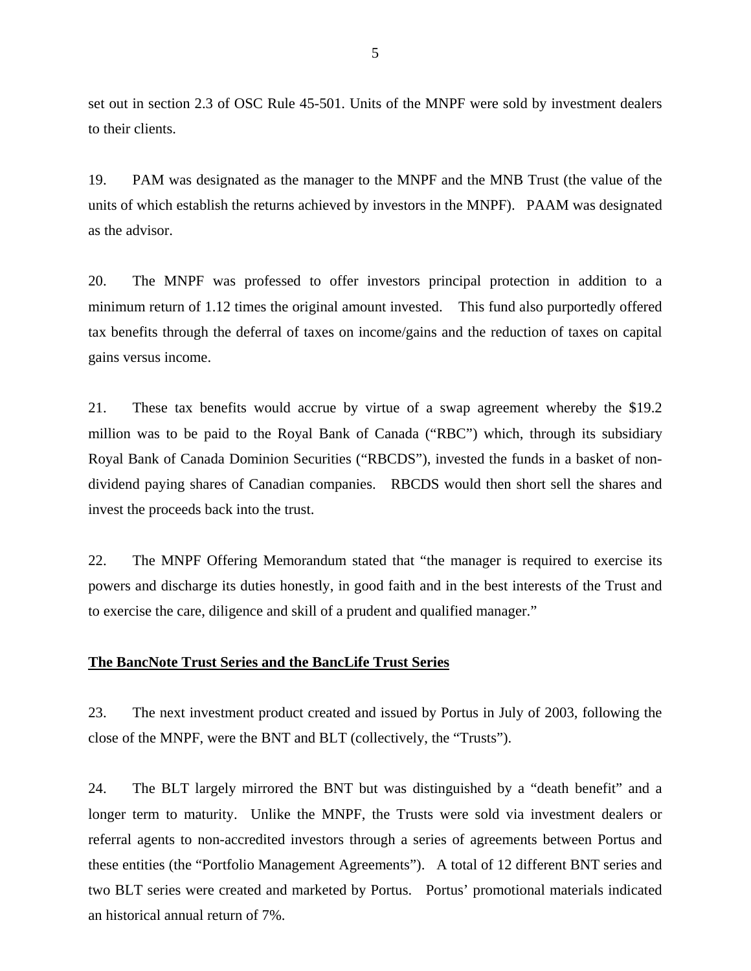set out in section 2.3 of OSC Rule 45-501. Units of the MNPF were sold by investment dealers to their clients.

19. PAM was designated as the manager to the MNPF and the MNB Trust (the value of the units of which establish the returns achieved by investors in the MNPF). PAAM was designated as the advisor.

20. The MNPF was professed to offer investors principal protection in addition to a minimum return of 1.12 times the original amount invested. This fund also purportedly offered tax benefits through the deferral of taxes on income/gains and the reduction of taxes on capital gains versus income.

21. These tax benefits would accrue by virtue of a swap agreement whereby the \$19.2 million was to be paid to the Royal Bank of Canada ("RBC") which, through its subsidiary Royal Bank of Canada Dominion Securities ("RBCDS"), invested the funds in a basket of nondividend paying shares of Canadian companies. RBCDS would then short sell the shares and invest the proceeds back into the trust.

22. The MNPF Offering Memorandum stated that "the manager is required to exercise its powers and discharge its duties honestly, in good faith and in the best interests of the Trust and to exercise the care, diligence and skill of a prudent and qualified manager."

## **The BancNote Trust Series and the BancLife Trust Series**

23. The next investment product created and issued by Portus in July of 2003, following the close of the MNPF, were the BNT and BLT (collectively, the "Trusts").

24. The BLT largely mirrored the BNT but was distinguished by a "death benefit" and a longer term to maturity. Unlike the MNPF, the Trusts were sold via investment dealers or referral agents to non-accredited investors through a series of agreements between Portus and these entities (the "Portfolio Management Agreements"). A total of 12 different BNT series and two BLT series were created and marketed by Portus. Portus' promotional materials indicated an historical annual return of 7%.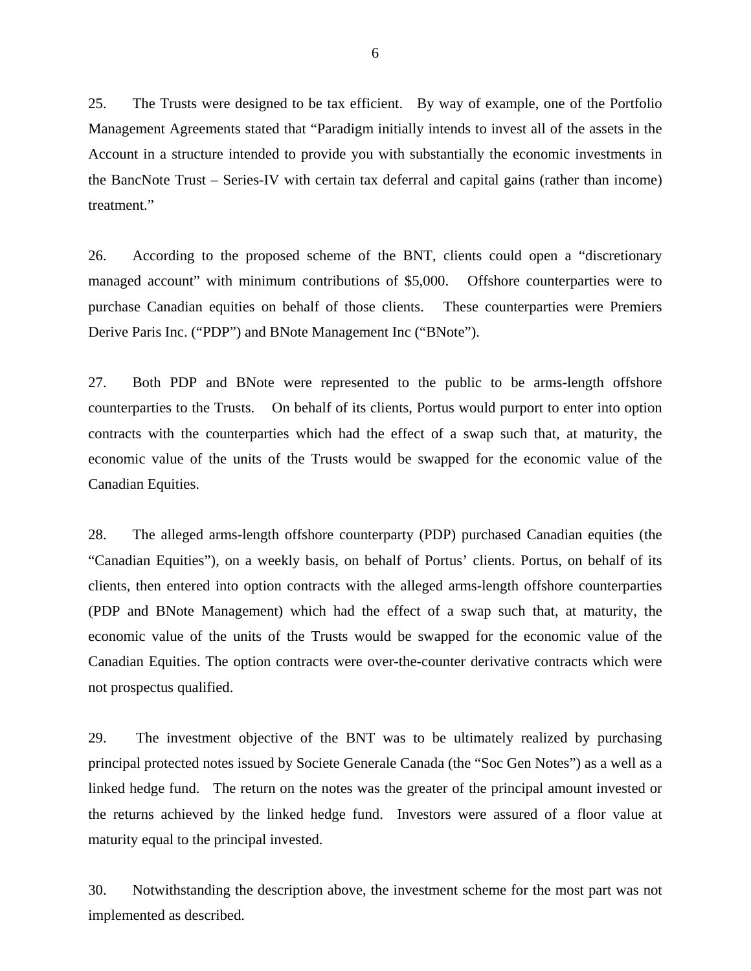25. The Trusts were designed to be tax efficient. By way of example, one of the Portfolio Management Agreements stated that "Paradigm initially intends to invest all of the assets in the Account in a structure intended to provide you with substantially the economic investments in the BancNote Trust – Series-IV with certain tax deferral and capital gains (rather than income) treatment."

26. According to the proposed scheme of the BNT, clients could open a "discretionary managed account" with minimum contributions of \$5,000. Offshore counterparties were to purchase Canadian equities on behalf of those clients. These counterparties were Premiers Derive Paris Inc. ("PDP") and BNote Management Inc ("BNote").

27. Both PDP and BNote were represented to the public to be arms-length offshore counterparties to the Trusts. On behalf of its clients, Portus would purport to enter into option contracts with the counterparties which had the effect of a swap such that, at maturity, the economic value of the units of the Trusts would be swapped for the economic value of the Canadian Equities.

28. The alleged arms-length offshore counterparty (PDP) purchased Canadian equities (the "Canadian Equities"), on a weekly basis, on behalf of Portus' clients. Portus, on behalf of its clients, then entered into option contracts with the alleged arms-length offshore counterparties (PDP and BNote Management) which had the effect of a swap such that, at maturity, the economic value of the units of the Trusts would be swapped for the economic value of the Canadian Equities. The option contracts were over-the-counter derivative contracts which were not prospectus qualified.

29. The investment objective of the BNT was to be ultimately realized by purchasing principal protected notes issued by Societe Generale Canada (the "Soc Gen Notes") as a well as a linked hedge fund. The return on the notes was the greater of the principal amount invested or the returns achieved by the linked hedge fund. Investors were assured of a floor value at maturity equal to the principal invested.

30. Notwithstanding the description above, the investment scheme for the most part was not implemented as described.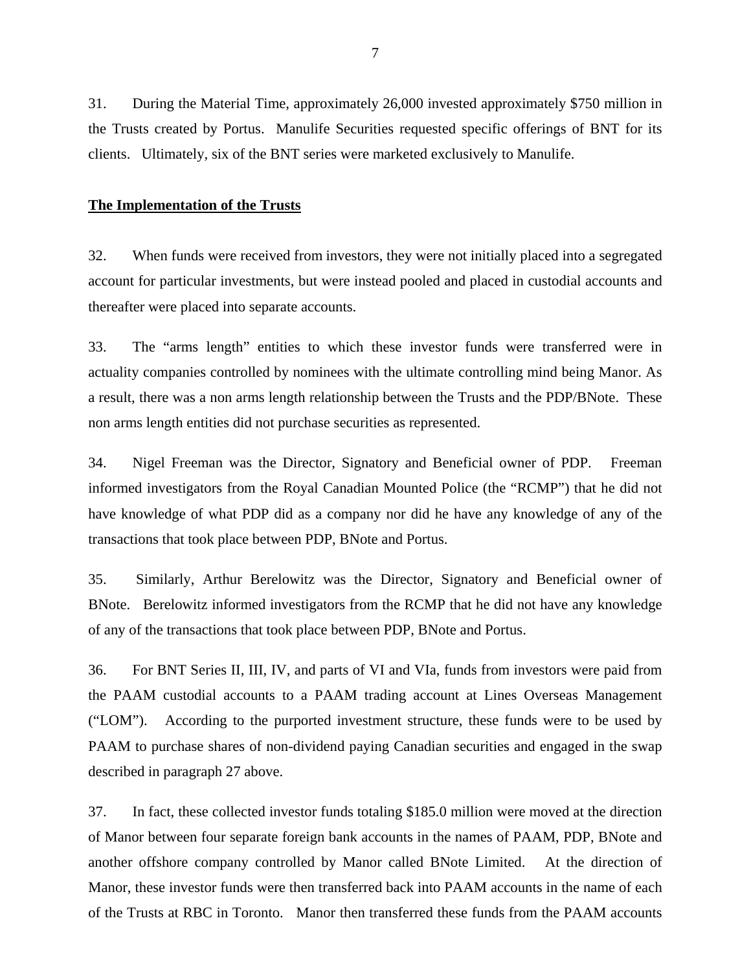31. During the Material Time, approximately 26,000 invested approximately \$750 million in the Trusts created by Portus. Manulife Securities requested specific offerings of BNT for its clients. Ultimately, six of the BNT series were marketed exclusively to Manulife.

## **The Implementation of the Trusts**

32. When funds were received from investors, they were not initially placed into a segregated account for particular investments, but were instead pooled and placed in custodial accounts and thereafter were placed into separate accounts.

33. The "arms length" entities to which these investor funds were transferred were in actuality companies controlled by nominees with the ultimate controlling mind being Manor. As a result, there was a non arms length relationship between the Trusts and the PDP/BNote. These non arms length entities did not purchase securities as represented.

34. Nigel Freeman was the Director, Signatory and Beneficial owner of PDP. Freeman informed investigators from the Royal Canadian Mounted Police (the "RCMP") that he did not have knowledge of what PDP did as a company nor did he have any knowledge of any of the transactions that took place between PDP, BNote and Portus.

35. Similarly, Arthur Berelowitz was the Director, Signatory and Beneficial owner of BNote. Berelowitz informed investigators from the RCMP that he did not have any knowledge of any of the transactions that took place between PDP, BNote and Portus.

36. For BNT Series II, III, IV, and parts of VI and VIa, funds from investors were paid from the PAAM custodial accounts to a PAAM trading account at Lines Overseas Management ("LOM"). According to the purported investment structure, these funds were to be used by PAAM to purchase shares of non-dividend paying Canadian securities and engaged in the swap described in paragraph 27 above.

37. In fact, these collected investor funds totaling \$185.0 million were moved at the direction of Manor between four separate foreign bank accounts in the names of PAAM, PDP, BNote and another offshore company controlled by Manor called BNote Limited. At the direction of Manor, these investor funds were then transferred back into PAAM accounts in the name of each of the Trusts at RBC in Toronto. Manor then transferred these funds from the PAAM accounts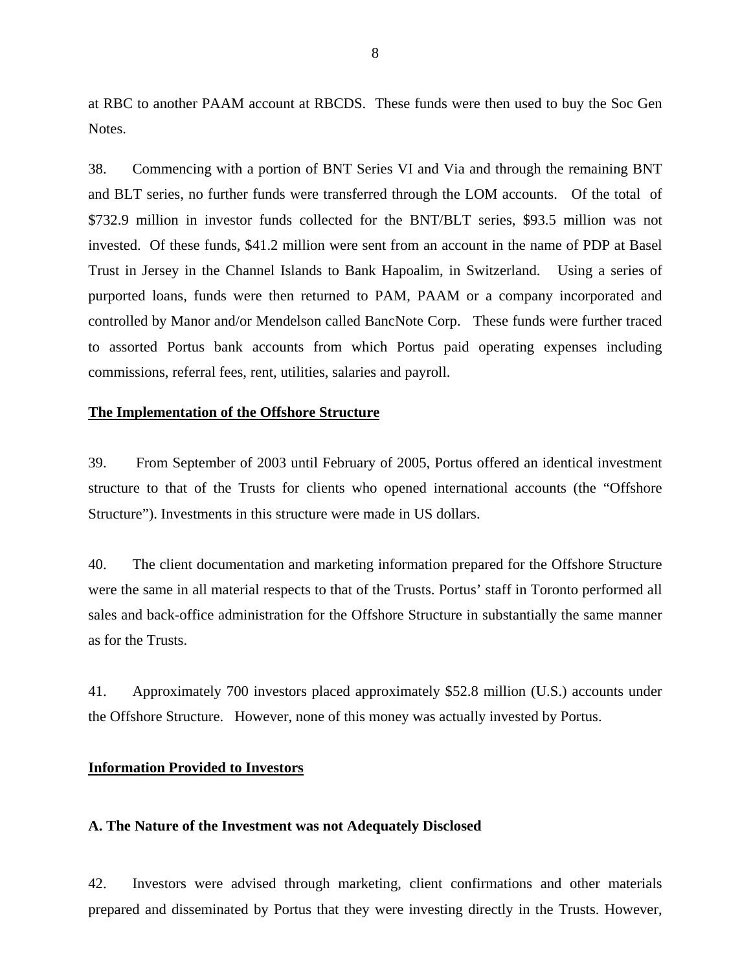at RBC to another PAAM account at RBCDS. These funds were then used to buy the Soc Gen Notes.

38. Commencing with a portion of BNT Series VI and Via and through the remaining BNT and BLT series, no further funds were transferred through the LOM accounts. Of the total of \$732.9 million in investor funds collected for the BNT/BLT series, \$93.5 million was not invested. Of these funds, \$41.2 million were sent from an account in the name of PDP at Basel Trust in Jersey in the Channel Islands to Bank Hapoalim, in Switzerland. Using a series of purported loans, funds were then returned to PAM, PAAM or a company incorporated and controlled by Manor and/or Mendelson called BancNote Corp. These funds were further traced to assorted Portus bank accounts from which Portus paid operating expenses including commissions, referral fees, rent, utilities, salaries and payroll.

## **The Implementation of the Offshore Structure**

39. From September of 2003 until February of 2005, Portus offered an identical investment structure to that of the Trusts for clients who opened international accounts (the "Offshore Structure"). Investments in this structure were made in US dollars.

40. The client documentation and marketing information prepared for the Offshore Structure were the same in all material respects to that of the Trusts. Portus' staff in Toronto performed all sales and back-office administration for the Offshore Structure in substantially the same manner as for the Trusts.

41. Approximately 700 investors placed approximately \$52.8 million (U.S.) accounts under the Offshore Structure. However, none of this money was actually invested by Portus.

## **Information Provided to Investors**

## **A. The Nature of the Investment was not Adequately Disclosed**

42. Investors were advised through marketing, client confirmations and other materials prepared and disseminated by Portus that they were investing directly in the Trusts. However,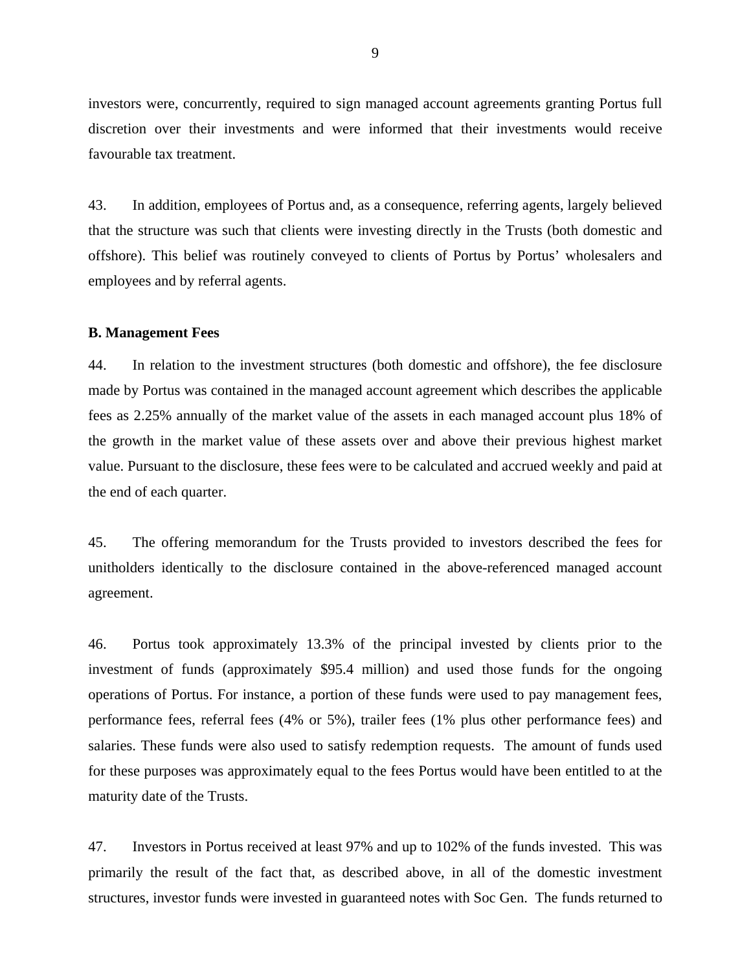investors were, concurrently, required to sign managed account agreements granting Portus full discretion over their investments and were informed that their investments would receive favourable tax treatment.

43. In addition, employees of Portus and, as a consequence, referring agents, largely believed that the structure was such that clients were investing directly in the Trusts (both domestic and offshore). This belief was routinely conveyed to clients of Portus by Portus' wholesalers and employees and by referral agents.

#### **B. Management Fees**

44. In relation to the investment structures (both domestic and offshore), the fee disclosure made by Portus was contained in the managed account agreement which describes the applicable fees as 2.25% annually of the market value of the assets in each managed account plus 18% of the growth in the market value of these assets over and above their previous highest market value. Pursuant to the disclosure, these fees were to be calculated and accrued weekly and paid at the end of each quarter.

45. The offering memorandum for the Trusts provided to investors described the fees for unitholders identically to the disclosure contained in the above-referenced managed account agreement.

46. Portus took approximately 13.3% of the principal invested by clients prior to the investment of funds (approximately \$95.4 million) and used those funds for the ongoing operations of Portus. For instance, a portion of these funds were used to pay management fees, performance fees, referral fees (4% or 5%), trailer fees (1% plus other performance fees) and salaries. These funds were also used to satisfy redemption requests. The amount of funds used for these purposes was approximately equal to the fees Portus would have been entitled to at the maturity date of the Trusts.

47. Investors in Portus received at least 97% and up to 102% of the funds invested. This was primarily the result of the fact that, as described above, in all of the domestic investment structures, investor funds were invested in guaranteed notes with Soc Gen. The funds returned to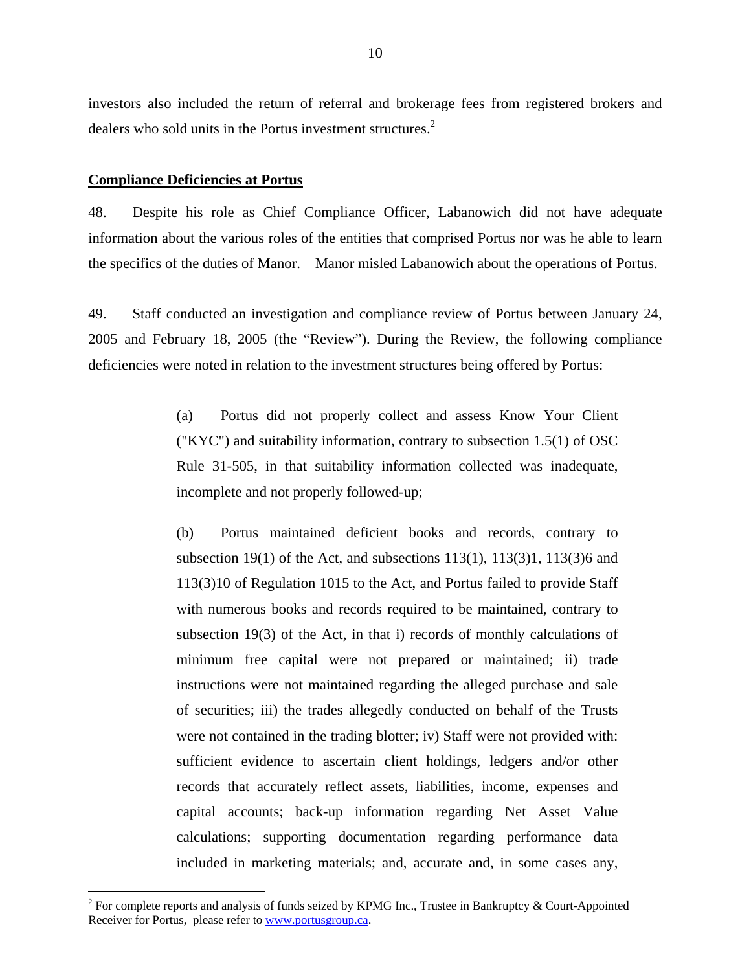investors also included the return of referral and brokerage fees from registered brokers and dealers who sold units in the Portus investment structures.<sup>2</sup>

#### **Compliance Deficiencies at Portus**

 $\overline{a}$ 

48. Despite his role as Chief Compliance Officer, Labanowich did not have adequate information about the various roles of the entities that comprised Portus nor was he able to learn the specifics of the duties of Manor. Manor misled Labanowich about the operations of Portus.

49. Staff conducted an investigation and compliance review of Portus between January 24, 2005 and February 18, 2005 (the "Review"). During the Review, the following compliance deficiencies were noted in relation to the investment structures being offered by Portus:

> (a) Portus did not properly collect and assess Know Your Client ("KYC") and suitability information, contrary to subsection 1.5(1) of OSC Rule 31-505, in that suitability information collected was inadequate, incomplete and not properly followed-up;

> (b) Portus maintained deficient books and records, contrary to subsection 19(1) of the Act, and subsections 113(1), 113(3)1, 113(3)6 and 113(3)10 of Regulation 1015 to the Act, and Portus failed to provide Staff with numerous books and records required to be maintained, contrary to subsection 19(3) of the Act, in that i) records of monthly calculations of minimum free capital were not prepared or maintained; ii) trade instructions were not maintained regarding the alleged purchase and sale of securities; iii) the trades allegedly conducted on behalf of the Trusts were not contained in the trading blotter; iv) Staff were not provided with: sufficient evidence to ascertain client holdings, ledgers and/or other records that accurately reflect assets, liabilities, income, expenses and capital accounts; back-up information regarding Net Asset Value calculations; supporting documentation regarding performance data included in marketing materials; and, accurate and, in some cases any,

<sup>&</sup>lt;sup>2</sup> For complete reports and analysis of funds seized by KPMG Inc., Trustee in Bankruptcy & Court-Appointed Receiver for Portus, please refer to www.portusgroup.ca.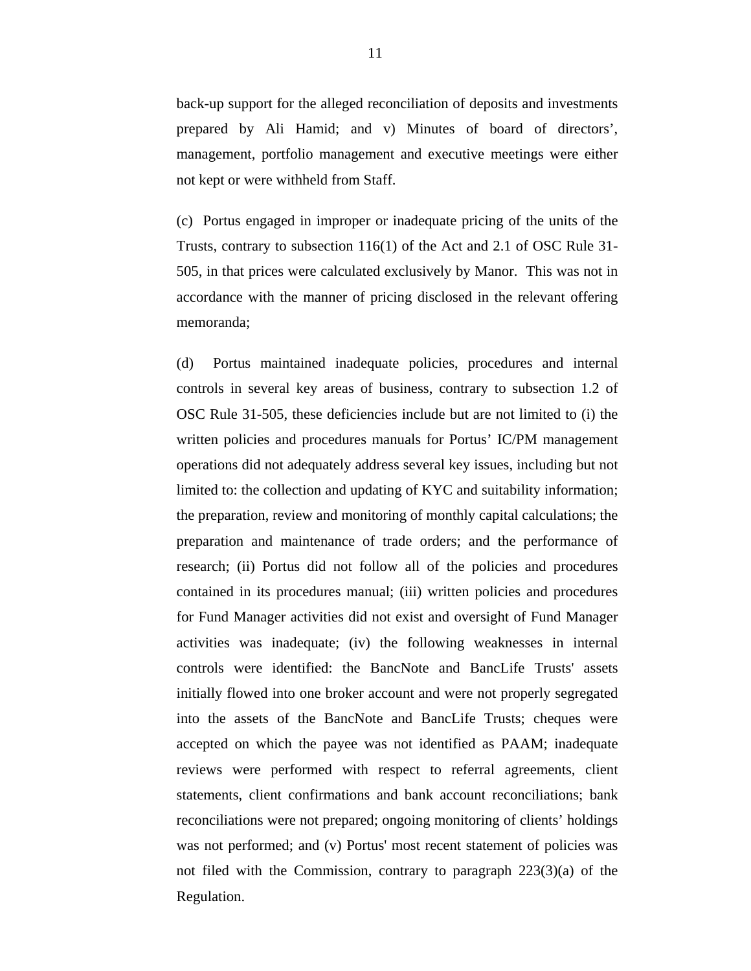back-up support for the alleged reconciliation of deposits and investments prepared by Ali Hamid; and v) Minutes of board of directors', management, portfolio management and executive meetings were either not kept or were withheld from Staff.

(c) Portus engaged in improper or inadequate pricing of the units of the Trusts, contrary to subsection 116(1) of the Act and 2.1 of OSC Rule 31- 505, in that prices were calculated exclusively by Manor. This was not in accordance with the manner of pricing disclosed in the relevant offering memoranda;

(d) Portus maintained inadequate policies, procedures and internal controls in several key areas of business, contrary to subsection 1.2 of OSC Rule 31-505, these deficiencies include but are not limited to (i) the written policies and procedures manuals for Portus' IC/PM management operations did not adequately address several key issues, including but not limited to: the collection and updating of KYC and suitability information; the preparation, review and monitoring of monthly capital calculations; the preparation and maintenance of trade orders; and the performance of research; (ii) Portus did not follow all of the policies and procedures contained in its procedures manual; (iii) written policies and procedures for Fund Manager activities did not exist and oversight of Fund Manager activities was inadequate; (iv) the following weaknesses in internal controls were identified: the BancNote and BancLife Trusts' assets initially flowed into one broker account and were not properly segregated into the assets of the BancNote and BancLife Trusts; cheques were accepted on which the payee was not identified as PAAM; inadequate reviews were performed with respect to referral agreements, client statements, client confirmations and bank account reconciliations; bank reconciliations were not prepared; ongoing monitoring of clients' holdings was not performed; and (v) Portus' most recent statement of policies was not filed with the Commission, contrary to paragraph 223(3)(a) of the Regulation.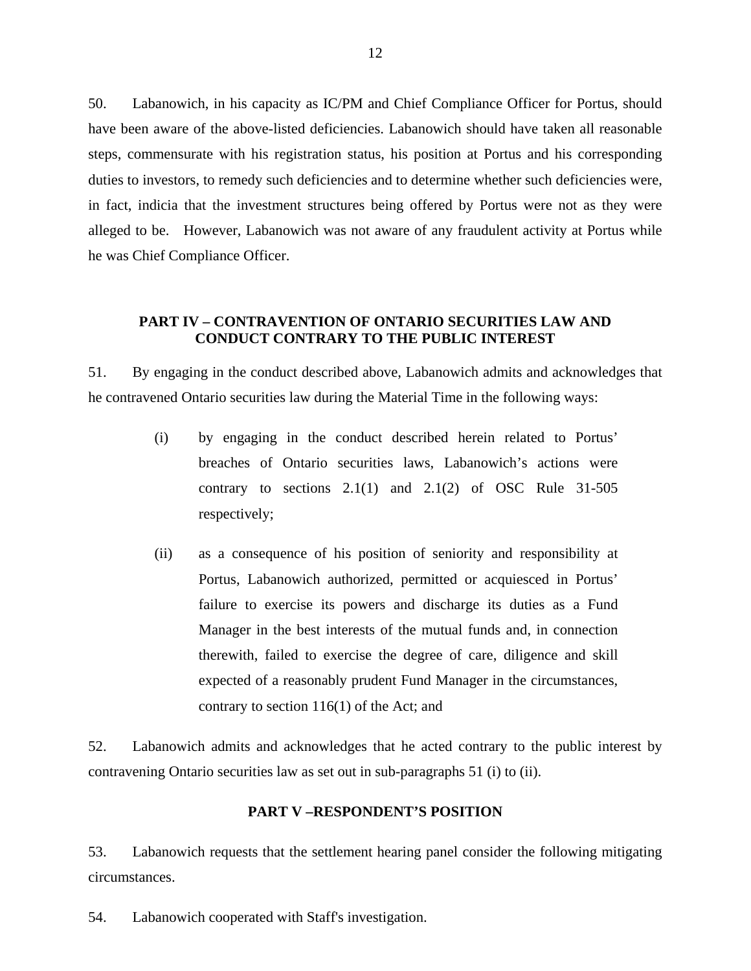50. Labanowich, in his capacity as IC/PM and Chief Compliance Officer for Portus, should have been aware of the above-listed deficiencies. Labanowich should have taken all reasonable steps, commensurate with his registration status, his position at Portus and his corresponding duties to investors, to remedy such deficiencies and to determine whether such deficiencies were, in fact, indicia that the investment structures being offered by Portus were not as they were alleged to be. However, Labanowich was not aware of any fraudulent activity at Portus while he was Chief Compliance Officer.

## **PART IV – CONTRAVENTION OF ONTARIO SECURITIES LAW AND CONDUCT CONTRARY TO THE PUBLIC INTEREST**

51. By engaging in the conduct described above, Labanowich admits and acknowledges that he contravened Ontario securities law during the Material Time in the following ways:

- (i) by engaging in the conduct described herein related to Portus' breaches of Ontario securities laws, Labanowich's actions were contrary to sections  $2.1(1)$  and  $2.1(2)$  of OSC Rule 31-505 respectively;
- (ii) as a consequence of his position of seniority and responsibility at Portus, Labanowich authorized, permitted or acquiesced in Portus' failure to exercise its powers and discharge its duties as a Fund Manager in the best interests of the mutual funds and, in connection therewith, failed to exercise the degree of care, diligence and skill expected of a reasonably prudent Fund Manager in the circumstances, contrary to section 116(1) of the Act; and

52. Labanowich admits and acknowledges that he acted contrary to the public interest by contravening Ontario securities law as set out in sub-paragraphs 51 (i) to (ii).

#### **PART V –RESPONDENT'S POSITION**

53. Labanowich requests that the settlement hearing panel consider the following mitigating circumstances.

54. Labanowich cooperated with Staff's investigation.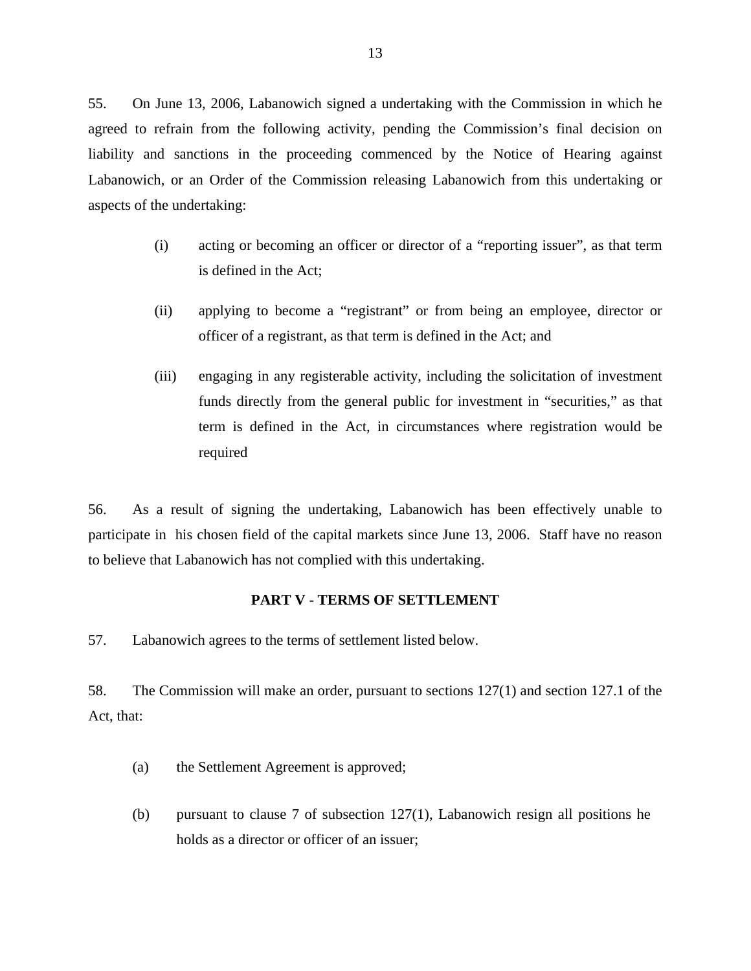55. On June 13, 2006, Labanowich signed a undertaking with the Commission in which he agreed to refrain from the following activity, pending the Commission's final decision on liability and sanctions in the proceeding commenced by the Notice of Hearing against Labanowich, or an Order of the Commission releasing Labanowich from this undertaking or aspects of the undertaking:

- (i) acting or becoming an officer or director of a "reporting issuer", as that term is defined in the Act;
- (ii) applying to become a "registrant" or from being an employee, director or officer of a registrant, as that term is defined in the Act; and
- (iii) engaging in any registerable activity, including the solicitation of investment funds directly from the general public for investment in "securities," as that term is defined in the Act, in circumstances where registration would be required

56. As a result of signing the undertaking, Labanowich has been effectively unable to participate in his chosen field of the capital markets since June 13, 2006. Staff have no reason to believe that Labanowich has not complied with this undertaking.

## **PART V - TERMS OF SETTLEMENT**

57. Labanowich agrees to the terms of settlement listed below.

58. The Commission will make an order, pursuant to sections 127(1) and section 127.1 of the Act, that:

- (a) the Settlement Agreement is approved;
- (b) pursuant to clause 7 of subsection 127(1), Labanowich resign all positions he holds as a director or officer of an issuer;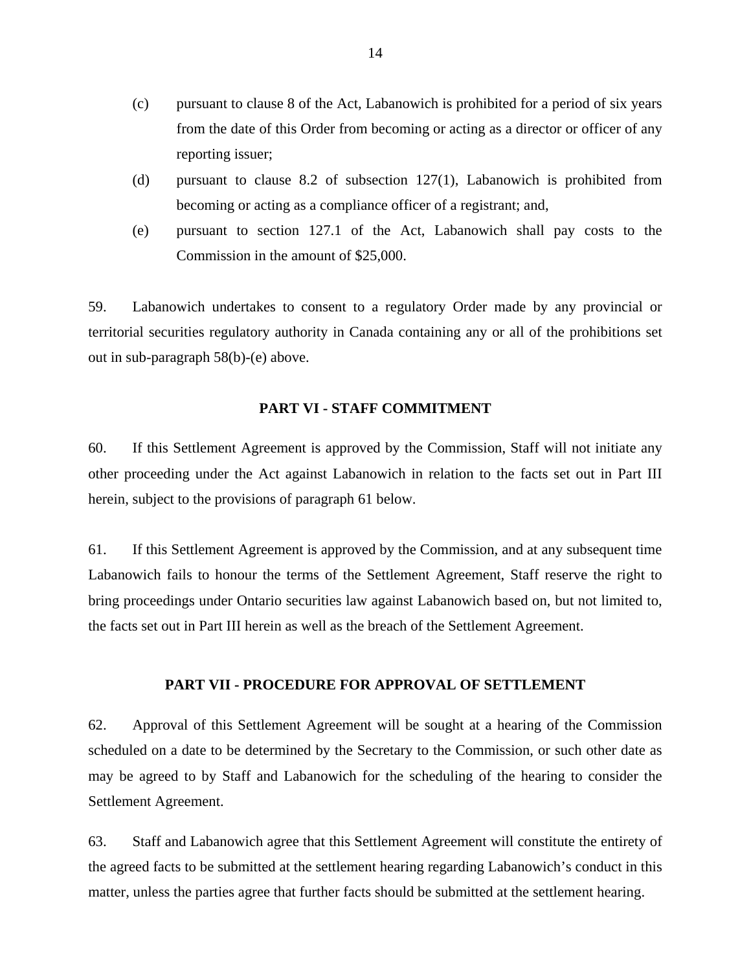- (c) pursuant to clause 8 of the Act, Labanowich is prohibited for a period of six years from the date of this Order from becoming or acting as a director or officer of any reporting issuer;
- (d) pursuant to clause 8.2 of subsection 127(1), Labanowich is prohibited from becoming or acting as a compliance officer of a registrant; and,
- (e) pursuant to section 127.1 of the Act, Labanowich shall pay costs to the Commission in the amount of \$25,000.

59. Labanowich undertakes to consent to a regulatory Order made by any provincial or territorial securities regulatory authority in Canada containing any or all of the prohibitions set out in sub-paragraph 58(b)-(e) above.

## **PART VI - STAFF COMMITMENT**

60. If this Settlement Agreement is approved by the Commission, Staff will not initiate any other proceeding under the Act against Labanowich in relation to the facts set out in Part III herein, subject to the provisions of paragraph 61 below.

61. If this Settlement Agreement is approved by the Commission, and at any subsequent time Labanowich fails to honour the terms of the Settlement Agreement, Staff reserve the right to bring proceedings under Ontario securities law against Labanowich based on, but not limited to, the facts set out in Part III herein as well as the breach of the Settlement Agreement.

#### **PART VII - PROCEDURE FOR APPROVAL OF SETTLEMENT**

62. Approval of this Settlement Agreement will be sought at a hearing of the Commission scheduled on a date to be determined by the Secretary to the Commission, or such other date as may be agreed to by Staff and Labanowich for the scheduling of the hearing to consider the Settlement Agreement.

63. Staff and Labanowich agree that this Settlement Agreement will constitute the entirety of the agreed facts to be submitted at the settlement hearing regarding Labanowich's conduct in this matter, unless the parties agree that further facts should be submitted at the settlement hearing.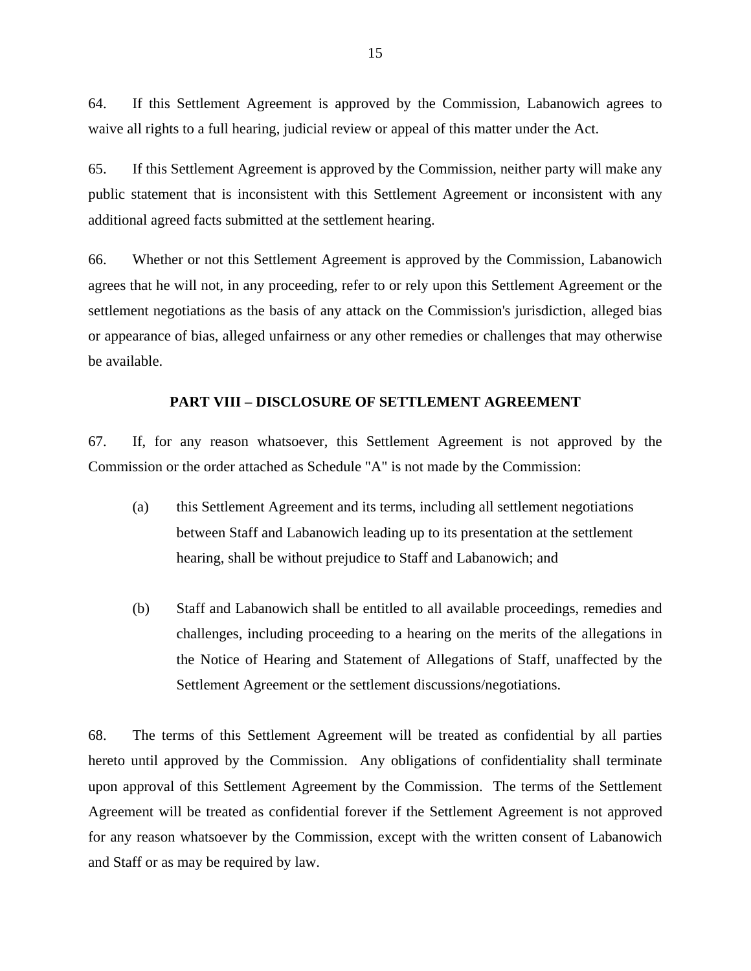64. If this Settlement Agreement is approved by the Commission, Labanowich agrees to waive all rights to a full hearing, judicial review or appeal of this matter under the Act.

65. If this Settlement Agreement is approved by the Commission, neither party will make any public statement that is inconsistent with this Settlement Agreement or inconsistent with any additional agreed facts submitted at the settlement hearing.

66. Whether or not this Settlement Agreement is approved by the Commission, Labanowich agrees that he will not, in any proceeding, refer to or rely upon this Settlement Agreement or the settlement negotiations as the basis of any attack on the Commission's jurisdiction, alleged bias or appearance of bias, alleged unfairness or any other remedies or challenges that may otherwise be available.

#### **PART VIII – DISCLOSURE OF SETTLEMENT AGREEMENT**

67. If, for any reason whatsoever, this Settlement Agreement is not approved by the Commission or the order attached as Schedule "A" is not made by the Commission:

- (a) this Settlement Agreement and its terms, including all settlement negotiations between Staff and Labanowich leading up to its presentation at the settlement hearing, shall be without prejudice to Staff and Labanowich; and
- (b) Staff and Labanowich shall be entitled to all available proceedings, remedies and challenges, including proceeding to a hearing on the merits of the allegations in the Notice of Hearing and Statement of Allegations of Staff, unaffected by the Settlement Agreement or the settlement discussions/negotiations.

68. The terms of this Settlement Agreement will be treated as confidential by all parties hereto until approved by the Commission. Any obligations of confidentiality shall terminate upon approval of this Settlement Agreement by the Commission. The terms of the Settlement Agreement will be treated as confidential forever if the Settlement Agreement is not approved for any reason whatsoever by the Commission, except with the written consent of Labanowich and Staff or as may be required by law.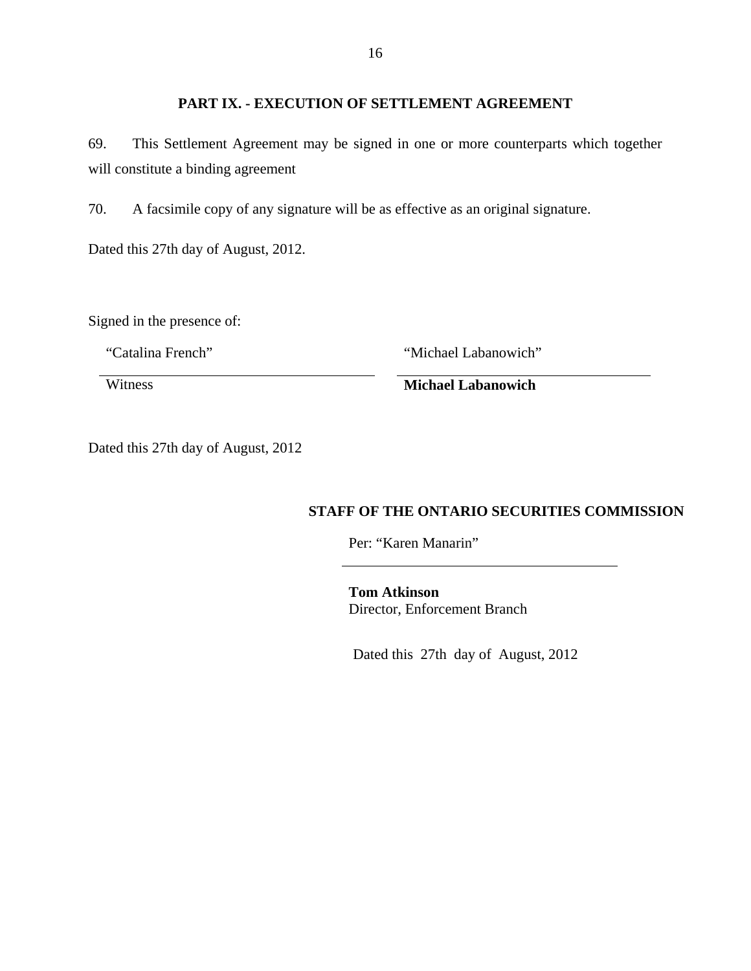# **PART IX. - EXECUTION OF SETTLEMENT AGREEMENT**

69. This Settlement Agreement may be signed in one or more counterparts which together will constitute a binding agreement

70. A facsimile copy of any signature will be as effective as an original signature.

Dated this 27th day of August, 2012.

Signed in the presence of:

"Catalina French" "Michael Labanowich"

Witness **Michael Labanowich** 

Dated this 27th day of August, 2012

# **STAFF OF THE ONTARIO SECURITIES COMMISSION**

Per: "Karen Manarin"

**Tom Atkinson**  Director, Enforcement Branch

Dated this 27th day of August, 2012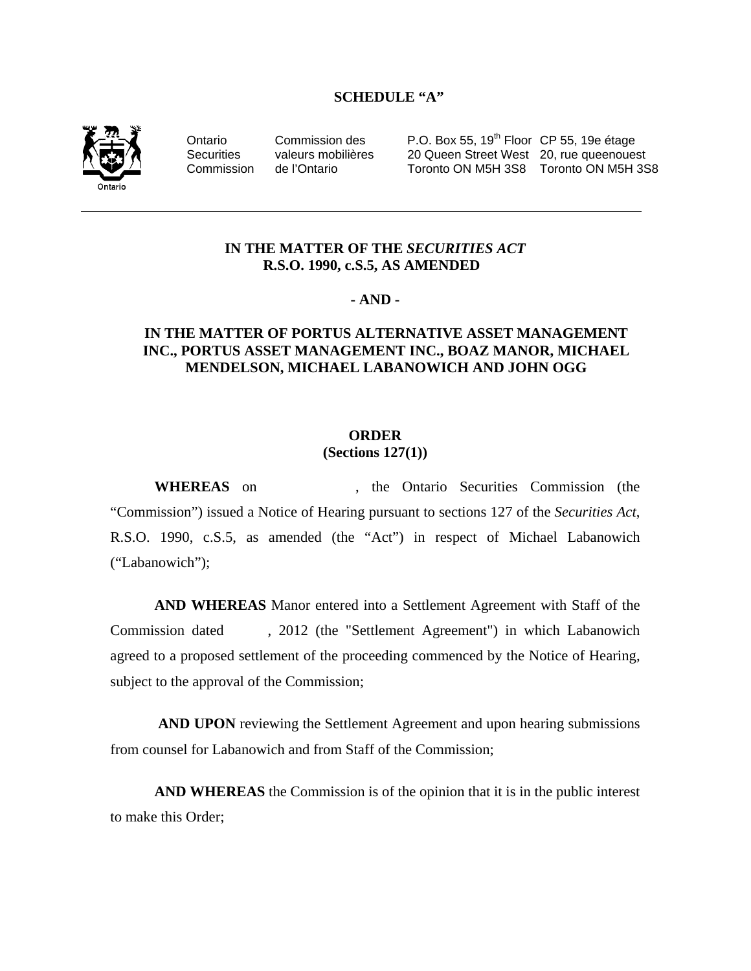#### **SCHEDULE "A"**



Ontario Commission des P.O. Box 55, 19<sup>th</sup> Floor CP 55, 19e étage Securities valeurs mobilières 20 Queen Street West 20, rue queenouest Commission de l'Ontario Toronto ON M5H 3S8 Toronto ON M5H 3S8

## **IN THE MATTER OF THE** *SECURITIES ACT* **R.S.O. 1990, c.S.5, AS AMENDED**

## **- AND -**

## **IN THE MATTER OF PORTUS ALTERNATIVE ASSET MANAGEMENT INC., PORTUS ASSET MANAGEMENT INC., BOAZ MANOR, MICHAEL MENDELSON, MICHAEL LABANOWICH AND JOHN OGG**

# **ORDER**

**(Sections 127(1))** 

**WHEREAS** on , the Ontario Securities Commission (the "Commission") issued a Notice of Hearing pursuant to sections 127 of the *Securities Act*, R.S.O. 1990, c.S.5, as amended (the "Act") in respect of Michael Labanowich ("Labanowich");

**AND WHEREAS** Manor entered into a Settlement Agreement with Staff of the Commission dated , 2012 (the "Settlement Agreement") in which Labanowich agreed to a proposed settlement of the proceeding commenced by the Notice of Hearing, subject to the approval of the Commission;

 **AND UPON** reviewing the Settlement Agreement and upon hearing submissions from counsel for Labanowich and from Staff of the Commission;

**AND WHEREAS** the Commission is of the opinion that it is in the public interest to make this Order;